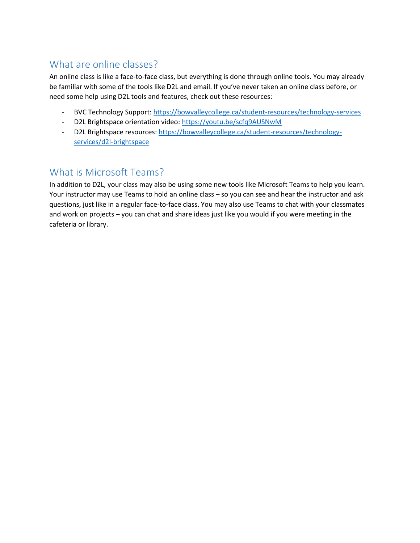## What are online classes?

An online class is like a face-to-face class, but everything is done through online tools. You may already be familiar with some of the tools like D2L and email. If you've never taken an online class before, or need some help using D2L tools and features, check out these resources:

- BVC Technology Support[: https://bowvalleycollege.ca/student-resources/technology-services](https://bowvalleycollege.ca/student-resources/technology-services)
- D2L Brightspace orientation video:<https://youtu.be/scfq9AUSNwM>
- D2L Brightspace resources: [https://bowvalleycollege.ca/student-resources/technology](https://bowvalleycollege.ca/student-resources/technology-services/d2l-brightspace)[services/d2l-brightspace](https://bowvalleycollege.ca/student-resources/technology-services/d2l-brightspace)

## What is Microsoft Teams?

In addition to D2L, your class may also be using some new tools like Microsoft Teams to help you learn. Your instructor may use Teams to hold an online class – so you can see and hear the instructor and ask questions, just like in a regular face-to-face class. You may also use Teams to chat with your classmates and work on projects – you can chat and share ideas just like you would if you were meeting in the cafeteria or library.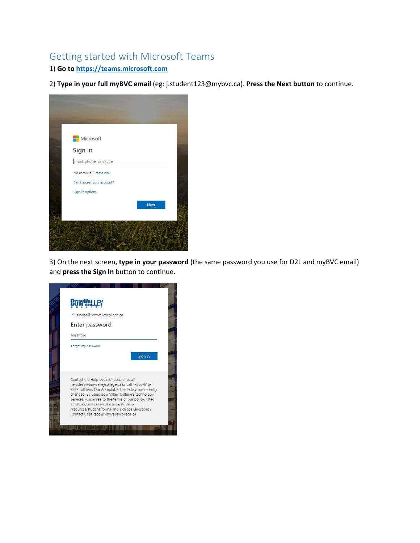## Getting started with Microsoft Teams

1) **Go to [https://teams.microsoft.com](https://teams.microsoft.com/)**

2) **Type in your full myBVC email** (eg: j.student123@mybvc.ca). **Press the Next button** to continue.



3) On the next screen**, type in your password** (the same password you use for D2L and myBVC email) and **press the Sign In** button to continue.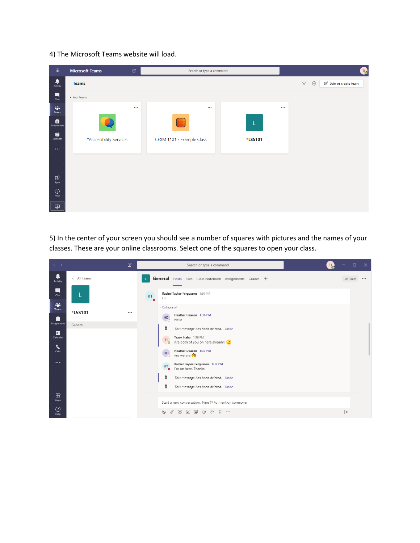4) The Microsoft Teams website will load.

| $\mathop{\mathbb{H}}$                                                                                  | <b>Microsoft Teams</b>  | $\mathbb Z$ | Search or type a command  |         |                       | Q.                                          |  |  |  |
|--------------------------------------------------------------------------------------------------------|-------------------------|-------------|---------------------------|---------|-----------------------|---------------------------------------------|--|--|--|
| ۹<br>Activity                                                                                          | <b>Teams</b>            |             |                           |         | $\boldsymbol{\nabla}$ | छु<br>ะ <sub>อื</sub> ่ Join or create team |  |  |  |
| $\begin{array}{c} \hline \mathbf{H} \\ \hline \mathbf{C} \mathbf{h} \mathbf{a} \mathbf{t} \end{array}$ | v Your teams            |             |                           |         |                       |                                             |  |  |  |
| W.<br>Teams                                                                                            |                         | $\cdots$    | $\cdots$                  |         | $\cdots$              |                                             |  |  |  |
| ê<br>Assignments                                                                                       |                         |             |                           | L.      |                       |                                             |  |  |  |
| ₩<br>Calendar                                                                                          | *Accessibility Services |             | CEXM 1101 - Example Class | *LSS101 |                       |                                             |  |  |  |
| $\cdots$                                                                                               |                         |             |                           |         |                       |                                             |  |  |  |
|                                                                                                        |                         |             |                           |         |                       |                                             |  |  |  |
| $\boxplus$<br>Apps                                                                                     |                         |             |                           |         |                       |                                             |  |  |  |
| $\bigodot_{\mathsf{Help}}$                                                                             |                         |             |                           |         |                       |                                             |  |  |  |
| 中                                                                                                      |                         |             |                           |         |                       |                                             |  |  |  |

5) In the center of your screen you should see a number of squares with pictures and the names of your classes. These are your online classrooms. Select one of the squares to open your class.

| $\langle \quad \rangle$     | $\mathbb Z$         | Search or type a command                                                                       | $\Box$<br>$\mathsf{X}$ |
|-----------------------------|---------------------|------------------------------------------------------------------------------------------------|------------------------|
| Ļ<br>Activity               | $\langle$ All teams | <b>General</b> Posts Files Class Notebook Assignments Grades +                                 | ◎ Team<br>             |
| 日<br>Chat                   |                     | Rachel Taylor-Fergusson 1:36 PM<br><b>RT</b><br>Hi!                                            |                        |
| and in<br><b>Teams</b><br>Ô | *LSS101<br>         | * Collapse all<br>Heather Deacon 1:36 PM<br>H <sub>O</sub><br>Hello                            |                        |
| <b>Assignments</b>          | General             | ô<br>This message has been deleted. Undo                                                       |                        |
| ₩<br>Calendar               |                     | Tracy Inaba 1:36 PM<br>T1<br>Are both of you on here already? [23]<br><b>O</b>                 |                        |
| $\mathbf{C}$<br>Calls       |                     | Heather Deacon 1:37 PM<br>H <sub>D</sub><br>yes we are<br>ം                                    |                        |
| $\cdots$                    |                     | Rachel Taylor-Fergusson 1:37 PM<br><b>RT</b><br>I'm on here. Thanks!                           |                        |
|                             |                     | Ô<br>This message has been deleted. Undo                                                       |                        |
| $\mathbb{B}$                |                     | ô<br>This message has been deleted. Undo                                                       |                        |
| Apps                        |                     | Start a new conversation. Type @ to mention someone.                                           |                        |
| $\odot$<br>Help             |                     | $A_{\!\mathscr{D}}$<br>₩<br>O,<br>$\odot$<br>$\Box$<br>$\Omega$<br>GIF<br>$\triangleright$<br> | $\triangleright$       |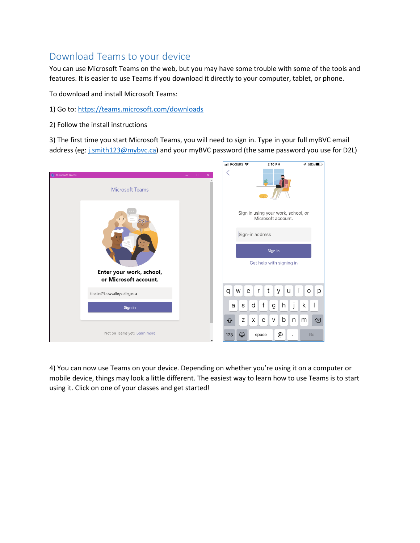## Download Teams to your device

You can use Microsoft Teams on the web, but you may have some trouble with some of the tools and features. It is easier to use Teams if you download it directly to your computer, tablet, or phone.

To download and install Microsoft Teams:

- 1) Go to: <https://teams.microsoft.com/downloads>
- 2) Follow the install instructions

3) The first time you start Microsoft Teams, you will need to sign in. Type in your full myBVC email address (eg[: j.smith123@mybvc.ca\)](mailto:j.smith123@mybvc.ca) and your myBVC password (the same password you use for D2L)



4) You can now use Teams on your device. Depending on whether you're using it on a computer or mobile device, things may look a little different. The easiest way to learn how to use Teams is to start using it. Click on one of your classes and get started!